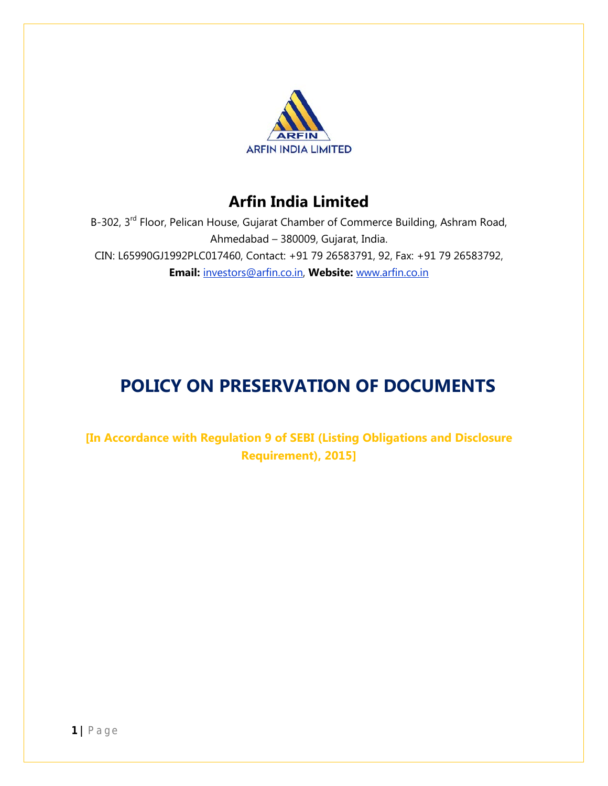

## **Arfin India Limited**

B-302, 3<sup>rd</sup> Floor, Pelican House, Gujarat Chamber of Commerce Building, Ashram Road, Ahmedabad – 380009, Gujarat, India. CIN: L65990GJ1992PLC017460, Contact: +91 79 26583791, 92, Fax: +91 79 26583792, **Email:** investors@arfin.co.in, **Website:** www.arfin.co.in

# **POLICY ON PRESERVATION OF DOCUMENTS**

**[In Accordance with Regulation 9 of SEBI (Listing Obligations and Disclosure Requirement), 2015]**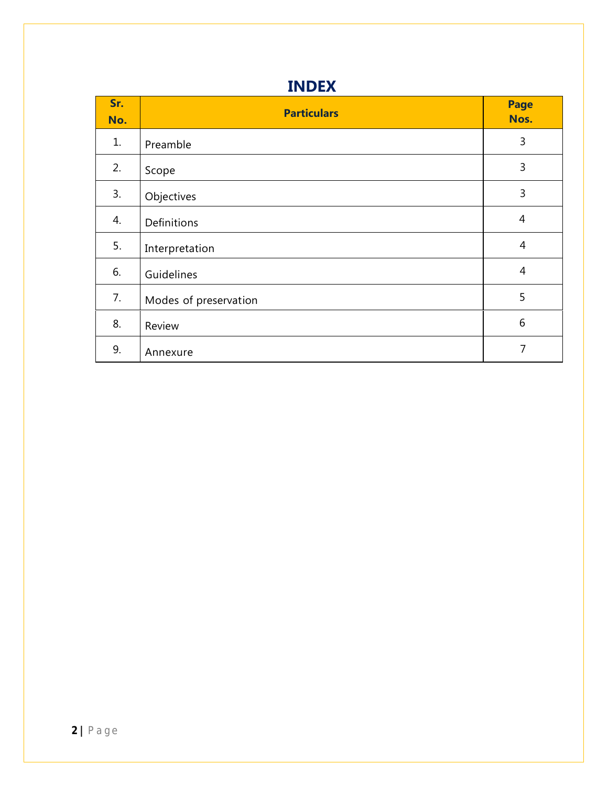| <b>INDEX</b> |
|--------------|
|--------------|

| Sr.<br>No. | <b>Particulars</b>    | <b>Page</b><br>Nos. |
|------------|-----------------------|---------------------|
| 1.         | Preamble              | 3                   |
| 2.         | Scope                 | 3                   |
| 3.         | Objectives            | 3                   |
| 4.         | Definitions           | $\overline{4}$      |
| 5.         | Interpretation        | 4                   |
| 6.         | Guidelines            | $\overline{4}$      |
| 7.         | Modes of preservation | 5                   |
| 8.         | Review                | 6                   |
| 9.         | Annexure              | 7                   |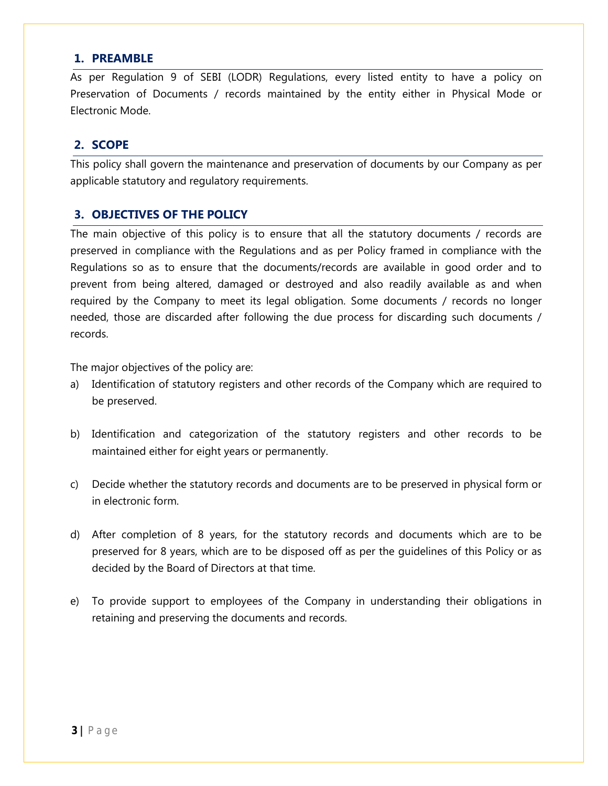#### **1. PREAMBLE**

As per Regulation 9 of SEBI (LODR) Regulations, every listed entity to have a policy on Preservation of Documents / records maintained by the entity either in Physical Mode or Electronic Mode.

#### **2. SCOPE**

This policy shall govern the maintenance and preservation of documents by our Company as per applicable statutory and regulatory requirements.

#### **3. OBJECTIVES OF THE POLICY**

The main objective of this policy is to ensure that all the statutory documents / records are preserved in compliance with the Regulations and as per Policy framed in compliance with the Regulations so as to ensure that the documents/records are available in good order and to prevent from being altered, damaged or destroyed and also readily available as and when required by the Company to meet its legal obligation. Some documents / records no longer needed, those are discarded after following the due process for discarding such documents / records.

The major objectives of the policy are:

- a) Identification of statutory registers and other records of the Company which are required to be preserved.
- b) Identification and categorization of the statutory registers and other records to be maintained either for eight years or permanently.
- c) Decide whether the statutory records and documents are to be preserved in physical form or in electronic form.
- d) After completion of 8 years, for the statutory records and documents which are to be preserved for 8 years, which are to be disposed off as per the guidelines of this Policy or as decided by the Board of Directors at that time.
- e) To provide support to employees of the Company in understanding their obligations in retaining and preserving the documents and records.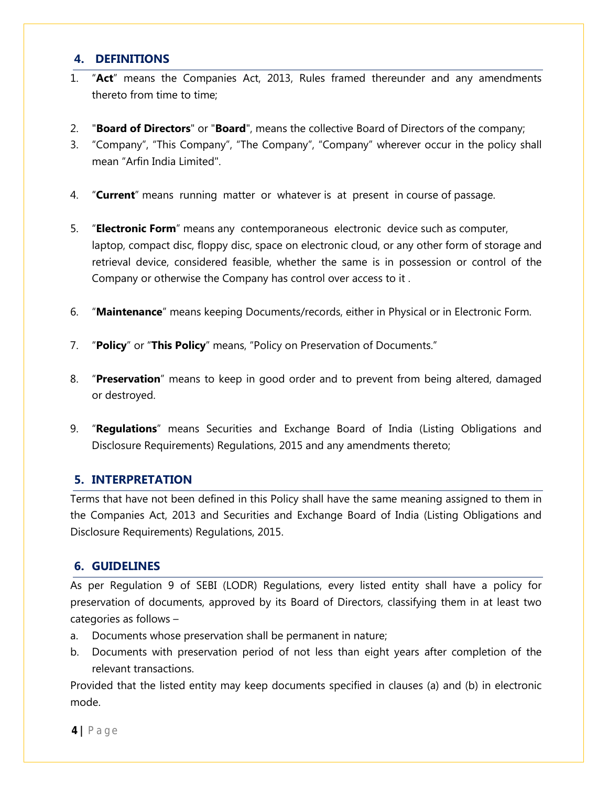#### **4. DEFINITIONS**

- 1. "**Act**" means the Companies Act, 2013, Rules framed thereunder and any amendments thereto from time to time;
- 2. "**Board of Directors**" or "**Board**", means the collective Board of Directors of the company;
- 3. "Company", "This Company", "The Company", "Company" wherever occur in the policy shall mean "Arfin India Limited".
- 4. "**Current**" means running matter or whatever is at present in course of passage.
- 5. "**Electronic Form**" means any contemporaneous electronic device such as computer, laptop, compact disc, floppy disc, space on electronic cloud, or any other form of storage and retrieval device, considered feasible, whether the same is in possession or control of the Company or otherwise the Company has control over access to it .
- 6. "**Maintenance**" means keeping Documents/records, either in Physical or in Electronic Form.
- 7. "**Policy**" or "**This Policy**" means, "Policy on Preservation of Documents."
- 8. "**Preservation**" means to keep in good order and to prevent from being altered, damaged or destroyed.
- 9. "**Regulations**" means Securities and Exchange Board of India (Listing Obligations and Disclosure Requirements) Regulations, 2015 and any amendments thereto;

## **5. INTERPRETATION**

Terms that have not been defined in this Policy shall have the same meaning assigned to them in the Companies Act, 2013 and Securities and Exchange Board of India (Listing Obligations and Disclosure Requirements) Regulations, 2015.

## **6. GUIDELINES**

As per Regulation 9 of SEBI (LODR) Regulations, every listed entity shall have a policy for preservation of documents, approved by its Board of Directors, classifying them in at least two categories as follows –

- a. Documents whose preservation shall be permanent in nature;
- b. Documents with preservation period of not less than eight years after completion of the relevant transactions.

Provided that the listed entity may keep documents specified in clauses (a) and (b) in electronic mode.

**4 |** P a g e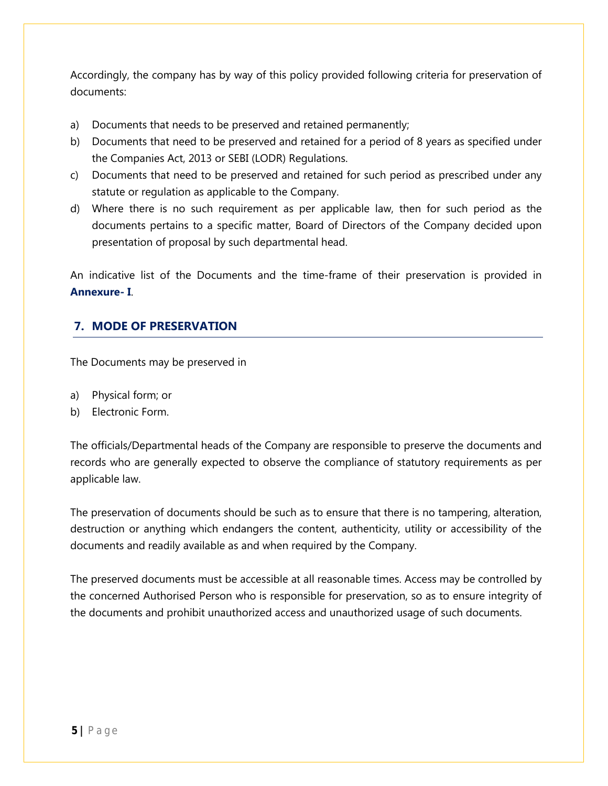Accordingly, the company has by way of this policy provided following criteria for preservation of documents:

- a) Documents that needs to be preserved and retained permanently;
- b) Documents that need to be preserved and retained for a period of 8 years as specified under the Companies Act, 2013 or SEBI (LODR) Regulations.
- c) Documents that need to be preserved and retained for such period as prescribed under any statute or regulation as applicable to the Company.
- d) Where there is no such requirement as per applicable law, then for such period as the documents pertains to a specific matter, Board of Directors of the Company decided upon presentation of proposal by such departmental head.

An indicative list of the Documents and the time-frame of their preservation is provided in **Annexure- I**.

## **7. MODE OF PRESERVATION**

The Documents may be preserved in

- a) Physical form; or
- b) Electronic Form.

The officials/Departmental heads of the Company are responsible to preserve the documents and records who are generally expected to observe the compliance of statutory requirements as per applicable law.

The preservation of documents should be such as to ensure that there is no tampering, alteration, destruction or anything which endangers the content, authenticity, utility or accessibility of the documents and readily available as and when required by the Company.

The preserved documents must be accessible at all reasonable times. Access may be controlled by the concerned Authorised Person who is responsible for preservation, so as to ensure integrity of the documents and prohibit unauthorized access and unauthorized usage of such documents.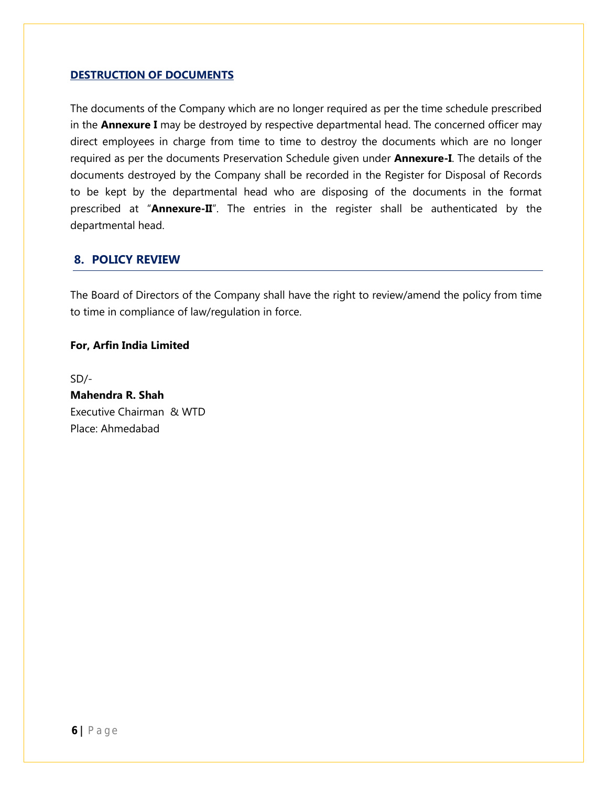#### **DESTRUCTION OF DOCUMENTS**

The documents of the Company which are no longer required as per the time schedule prescribed in the **Annexure I** may be destroyed by respective departmental head. The concerned officer may direct employees in charge from time to time to destroy the documents which are no longer required as per the documents Preservation Schedule given under **Annexure-I**. The details of the documents destroyed by the Company shall be recorded in the Register for Disposal of Records to be kept by the departmental head who are disposing of the documents in the format prescribed at "**Annexure-II**". The entries in the register shall be authenticated by the departmental head.

#### **8. POLICY REVIEW**

The Board of Directors of the Company shall have the right to review/amend the policy from time to time in compliance of law/regulation in force.

#### **For, Arfin India Limited**

SD/- **Mahendra R. Shah** Executive Chairman & WTD Place: Ahmedabad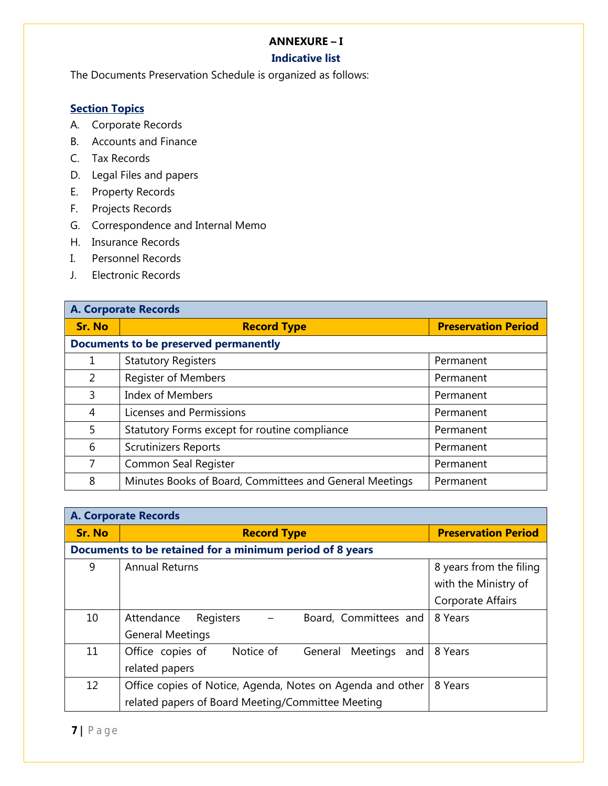#### **ANNEXURE – I**

## **Indicative list**

The Documents Preservation Schedule is organized as follows:

## **Section Topics**

- A. Corporate Records
- B. Accounts and Finance
- C. Tax Records
- D. Legal Files and papers
- E. Property Records
- F. Projects Records
- G. Correspondence and Internal Memo
- H. Insurance Records
- I. Personnel Records
- J. Electronic Records

| <b>A. Corporate Records</b> |                                                         |                            |  |
|-----------------------------|---------------------------------------------------------|----------------------------|--|
| <b>Sr. No</b>               | <b>Record Type</b>                                      | <b>Preservation Period</b> |  |
|                             | Documents to be preserved permanently                   |                            |  |
| 1                           | <b>Statutory Registers</b>                              | Permanent                  |  |
| 2                           | <b>Register of Members</b>                              | Permanent                  |  |
| 3                           | <b>Index of Members</b>                                 | Permanent                  |  |
| 4                           | Licenses and Permissions                                | Permanent                  |  |
| 5.                          | Statutory Forms except for routine compliance           | Permanent                  |  |
| 6                           | <b>Scrutinizers Reports</b>                             | Permanent                  |  |
| 7                           | Common Seal Register                                    | Permanent                  |  |
| 8                           | Minutes Books of Board, Committees and General Meetings | Permanent                  |  |

| <b>A. Corporate Records</b> |                                                             |                            |  |
|-----------------------------|-------------------------------------------------------------|----------------------------|--|
| <b>Sr. No</b>               | <b>Record Type</b>                                          | <b>Preservation Period</b> |  |
|                             | Documents to be retained for a minimum period of 8 years    |                            |  |
| 9                           | <b>Annual Returns</b>                                       | 8 years from the filing    |  |
|                             |                                                             | with the Ministry of       |  |
|                             |                                                             | Corporate Affairs          |  |
| 10                          | Registers<br>Board, Committees and<br>Attendance            | 8 Years                    |  |
|                             | <b>General Meetings</b>                                     |                            |  |
| 11                          | Notice of<br>Office copies of<br>Meetings<br>General<br>and | 8 Years                    |  |
|                             | related papers                                              |                            |  |
| 12                          | Office copies of Notice, Agenda, Notes on Agenda and other  | 8 Years                    |  |
|                             | related papers of Board Meeting/Committee Meeting           |                            |  |

**7 |** P a g e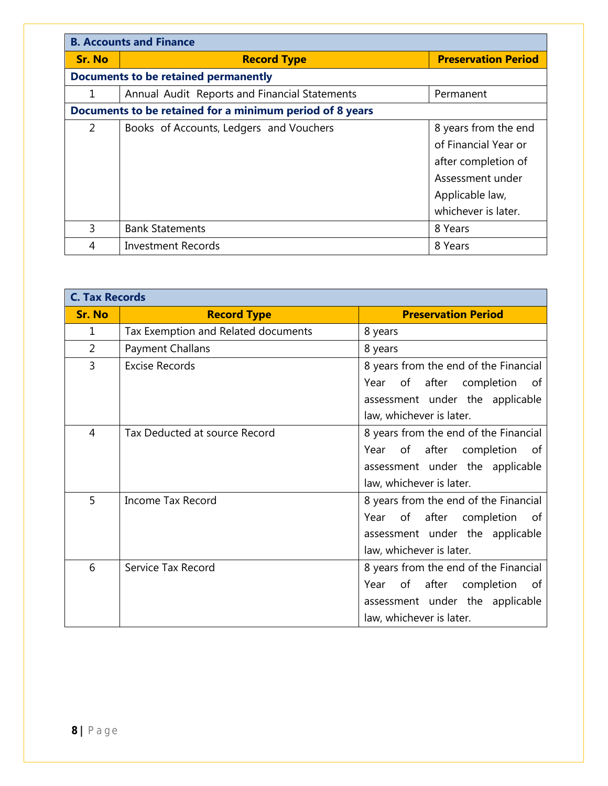| <b>B. Accounts and Finance</b>                           |                                               |                            |
|----------------------------------------------------------|-----------------------------------------------|----------------------------|
| <b>Sr. No</b>                                            | <b>Record Type</b>                            | <b>Preservation Period</b> |
|                                                          | <b>Documents to be retained permanently</b>   |                            |
| 1                                                        | Annual Audit Reports and Financial Statements | Permanent                  |
| Documents to be retained for a minimum period of 8 years |                                               |                            |
| 2                                                        | Books of Accounts, Ledgers and Vouchers       | 8 years from the end       |
|                                                          |                                               | of Financial Year or       |
|                                                          |                                               | after completion of        |
|                                                          |                                               | Assessment under           |
|                                                          |                                               | Applicable law,            |
|                                                          |                                               | whichever is later.        |
| 3                                                        | <b>Bank Statements</b>                        | 8 Years                    |
| 4                                                        | Investment Records                            | 8 Years                    |

| <b>C. Tax Records</b> |                                     |                                       |  |
|-----------------------|-------------------------------------|---------------------------------------|--|
| <b>Sr. No</b>         | <b>Record Type</b>                  | <b>Preservation Period</b>            |  |
| 1                     | Tax Exemption and Related documents | 8 years                               |  |
| 2                     | Payment Challans                    | 8 years                               |  |
| 3                     | <b>Excise Records</b>               | 8 years from the end of the Financial |  |
|                       |                                     | of after completion<br>Year<br>.of    |  |
|                       |                                     | assessment under the applicable       |  |
|                       |                                     | law, whichever is later.              |  |
| 4                     | Tax Deducted at source Record       | 8 years from the end of the Financial |  |
|                       |                                     | of after completion<br>Year<br>of     |  |
|                       |                                     | assessment under the applicable       |  |
|                       |                                     | law, whichever is later.              |  |
| 5                     | <b>Income Tax Record</b>            | 8 years from the end of the Financial |  |
|                       |                                     | of after<br>Year<br>completion<br>_of |  |
|                       |                                     | assessment under the applicable       |  |
|                       |                                     | law, whichever is later.              |  |
| 6                     | Service Tax Record                  | 8 years from the end of the Financial |  |
|                       |                                     | of after<br>completion<br>Year<br>0f  |  |
|                       |                                     | assessment under the applicable       |  |
|                       |                                     | law, whichever is later.              |  |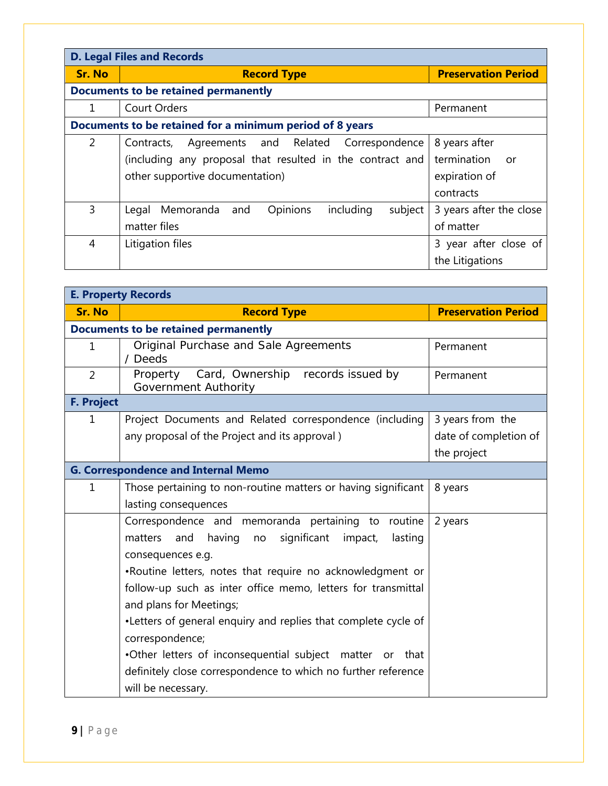| <b>D. Legal Files and Records</b> |                                                               |                            |  |
|-----------------------------------|---------------------------------------------------------------|----------------------------|--|
| <b>Sr. No</b>                     | <b>Record Type</b>                                            | <b>Preservation Period</b> |  |
|                                   | <b>Documents to be retained permanently</b>                   |                            |  |
| 1                                 | <b>Court Orders</b>                                           | Permanent                  |  |
|                                   | Documents to be retained for a minimum period of 8 years      |                            |  |
| 2                                 | Agreements and Related Correspondence<br>Contracts,           | 8 years after              |  |
|                                   | (including any proposal that resulted in the contract and     | termination<br>or          |  |
|                                   | other supportive documentation)                               | expiration of              |  |
|                                   |                                                               | contracts                  |  |
| 3                                 | Opinions<br>including<br>subject<br>Legal<br>Memoranda<br>and | 3 years after the close    |  |
|                                   | matter files                                                  | of matter                  |  |
| 4                                 | Litigation files                                              | 3 year after close of      |  |
|                                   |                                                               | the Litigations            |  |

| <b>E. Property Records</b> |                                                                     |                            |
|----------------------------|---------------------------------------------------------------------|----------------------------|
| <b>Sr. No</b>              | <b>Record Type</b>                                                  | <b>Preservation Period</b> |
|                            | <b>Documents to be retained permanently</b>                         |                            |
| $\mathbf 1$                | Original Purchase and Sale Agreements<br>/ Deeds                    | Permanent                  |
| $\overline{2}$             | Property Card, Ownership records issued by<br>Government Authority  | Permanent                  |
| <b>F. Project</b>          |                                                                     |                            |
| $\mathbf 1$                | Project Documents and Related correspondence (including             | 3 years from the           |
|                            | any proposal of the Project and its approval)                       | date of completion of      |
|                            |                                                                     | the project                |
|                            | <b>G. Correspondence and Internal Memo</b>                          |                            |
| 1                          | Those pertaining to non-routine matters or having significant       | 8 years                    |
|                            | lasting consequences                                                |                            |
|                            | Correspondence and memoranda pertaining to routine                  | 2 years                    |
|                            | significant<br>matters<br>having<br>impact,<br>lasting<br>and<br>no |                            |
|                            | consequences e.g.                                                   |                            |
|                            | .Routine letters, notes that require no acknowledgment or           |                            |
|                            | follow-up such as inter office memo, letters for transmittal        |                            |
|                            | and plans for Meetings;                                             |                            |
|                            | •Letters of general enquiry and replies that complete cycle of      |                            |
|                            | correspondence;                                                     |                            |
|                            | .Other letters of inconsequential subject matter or that            |                            |
|                            | definitely close correspondence to which no further reference       |                            |
|                            | will be necessary.                                                  |                            |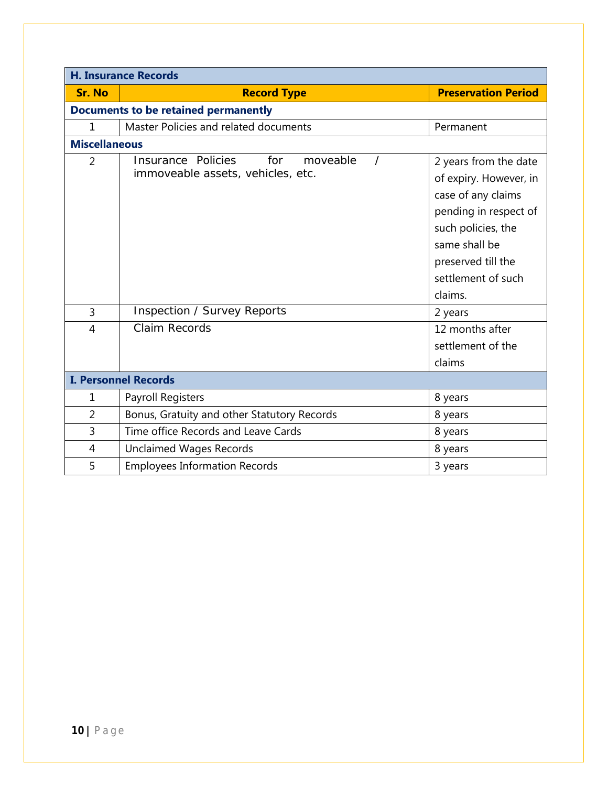| <b>H. Insurance Records</b> |                                                                            |                                                                                                                                                                                              |
|-----------------------------|----------------------------------------------------------------------------|----------------------------------------------------------------------------------------------------------------------------------------------------------------------------------------------|
| <b>Sr. No</b>               | <b>Record Type</b>                                                         | <b>Preservation Period</b>                                                                                                                                                                   |
|                             | <b>Documents to be retained permanently</b>                                |                                                                                                                                                                                              |
| 1                           | Master Policies and related documents                                      | Permanent                                                                                                                                                                                    |
| <b>Miscellaneous</b>        |                                                                            |                                                                                                                                                                                              |
| $\overline{2}$              | Insurance Policies<br>for<br>moveable<br>immoveable assets, vehicles, etc. | 2 years from the date<br>of expiry. However, in<br>case of any claims<br>pending in respect of<br>such policies, the<br>same shall be<br>preserved till the<br>settlement of such<br>claims. |
| 3                           | Inspection / Survey Reports                                                | 2 years                                                                                                                                                                                      |
| $\overline{4}$              | Claim Records                                                              | 12 months after<br>settlement of the<br>claims                                                                                                                                               |
| <b>I. Personnel Records</b> |                                                                            |                                                                                                                                                                                              |
| $\mathbf{1}$                | Payroll Registers                                                          | 8 years                                                                                                                                                                                      |
| $\overline{2}$              | Bonus, Gratuity and other Statutory Records                                | 8 years                                                                                                                                                                                      |
| 3                           | Time office Records and Leave Cards                                        | 8 years                                                                                                                                                                                      |
| 4                           | Unclaimed Wages Records                                                    | 8 years                                                                                                                                                                                      |
| 5                           | <b>Employees Information Records</b>                                       | 3 years                                                                                                                                                                                      |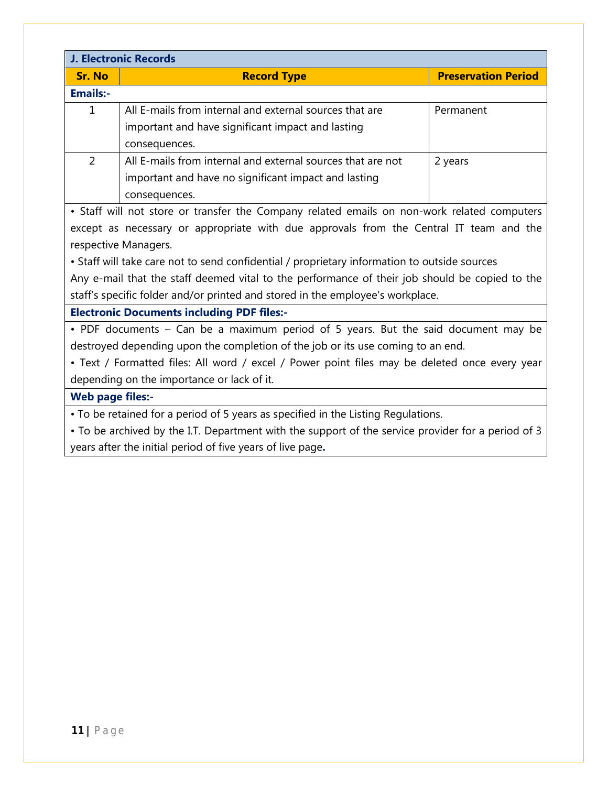| J. Electronic Records                                                                              |                                                                                             |                            |
|----------------------------------------------------------------------------------------------------|---------------------------------------------------------------------------------------------|----------------------------|
| <b>Sr. No</b>                                                                                      | <b>Record Type</b>                                                                          | <b>Preservation Period</b> |
| <b>Emails:-</b>                                                                                    |                                                                                             |                            |
| $\mathbf{1}$                                                                                       | All E-mails from internal and external sources that are                                     | Permanent                  |
|                                                                                                    | important and have significant impact and lasting                                           |                            |
|                                                                                                    | consequences.                                                                               |                            |
| $\overline{2}$                                                                                     | All E-mails from internal and external sources that are not                                 | 2 years                    |
|                                                                                                    | important and have no significant impact and lasting                                        |                            |
|                                                                                                    | consequences.                                                                               |                            |
|                                                                                                    | • Staff will not store or transfer the Company related emails on non-work related computers |                            |
|                                                                                                    | except as necessary or appropriate with due approvals from the Central IT team and the      |                            |
|                                                                                                    | respective Managers.                                                                        |                            |
| • Staff will take care not to send confidential / proprietary information to outside sources       |                                                                                             |                            |
| Any e-mail that the staff deemed vital to the performance of their job should be copied to the     |                                                                                             |                            |
| staff's specific folder and/or printed and stored in the employee's workplace.                     |                                                                                             |                            |
| <b>Electronic Documents including PDF files:-</b>                                                  |                                                                                             |                            |
| • PDF documents – Can be a maximum period of 5 years. But the said document may be                 |                                                                                             |                            |
| destroyed depending upon the completion of the job or its use coming to an end.                    |                                                                                             |                            |
| • Text / Formatted files: All word / excel / Power point files may be deleted once every year      |                                                                                             |                            |
| depending on the importance or lack of it.                                                         |                                                                                             |                            |
| <b>Web page files:-</b>                                                                            |                                                                                             |                            |
| • To be retained for a period of 5 years as specified in the Listing Regulations.                  |                                                                                             |                            |
| • To be archived by the I.T. Department with the support of the service provider for a period of 3 |                                                                                             |                            |
| years after the initial period of five years of live page.                                         |                                                                                             |                            |